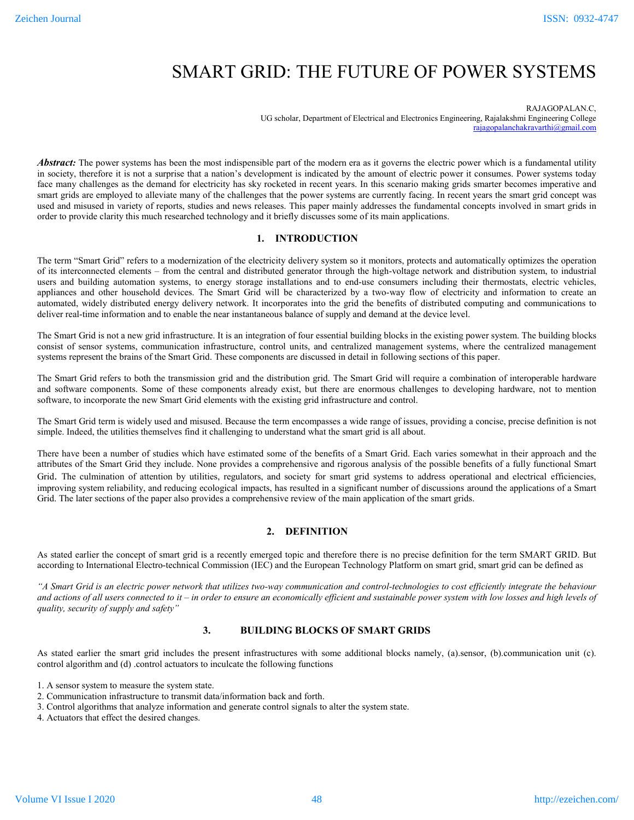# SMART GRID: THE FUTURE OF POWER SYSTEMS

RAJAGOPALAN.C,

UG scholar, Department of Electrical and Electronics Engineering, Rajalakshmi Engineering College rajagopalanchakravarthi@gmail.com

Abstract: The power systems has been the most indispensible part of the modern era as it governs the electric power which is a fundamental utility in society, therefore it is not a surprise that a nation's development is indicated by the amount of electric power it consumes. Power systems today face many challenges as the demand for electricity has sky rocketed in recent years. In this scenario making grids smarter becomes imperative and smart grids are employed to alleviate many of the challenges that the power systems are currently facing. In recent years the smart grid concept was used and misused in variety of reports, studies and news releases. This paper mainly addresses the fundamental concepts involved in smart grids in order to provide clarity this much researched technology and it briefly discusses some of its main applications.

# **1. INTRODUCTION**

The term "Smart Grid" refers to a modernization of the electricity delivery system so it monitors, protects and automatically optimizes the operation of its interconnected elements – from the central and distributed generator through the high-voltage network and distribution system, to industrial users and building automation systems, to energy storage installations and to end-use consumers including their thermostats, electric vehicles, appliances and other household devices. The Smart Grid will be characterized by a two-way flow of electricity and information to create an automated, widely distributed energy delivery network. It incorporates into the grid the benefits of distributed computing and communications to deliver real-time information and to enable the near instantaneous balance of supply and demand at the device level.

The Smart Grid is not a new grid infrastructure. It is an integration of four essential building blocks in the existing power system. The building blocks consist of sensor systems, communication infrastructure, control units, and centralized management systems, where the centralized management systems represent the brains of the Smart Grid. These components are discussed in detail in following sections of this paper.

The Smart Grid refers to both the transmission grid and the distribution grid. The Smart Grid will require a combination of interoperable hardware and software components. Some of these components already exist, but there are enormous challenges to developing hardware, not to mention software, to incorporate the new Smart Grid elements with the existing grid infrastructure and control.

The Smart Grid term is widely used and misused. Because the term encompasses a wide range of issues, providing a concise, precise definition is not simple. Indeed, the utilities themselves find it challenging to understand what the smart grid is all about.

There have been a number of studies which have estimated some of the benefits of a Smart Grid. Each varies somewhat in their approach and the attributes of the Smart Grid they include. None provides a comprehensive and rigorous analysis of the possible benefits of a fully functional Smart Grid. The culmination of attention by utilities, regulators, and society for smart grid systems to address operational and electrical efficiencies, improving system reliability, and reducing ecological impacts, has resulted in a significant number of discussions around the applications of a Smart Grid. The later sections of the paper also provides a comprehensive review of the main application of the smart grids.

## **2. DEFINITION**

As stated earlier the concept of smart grid is a recently emerged topic and therefore there is no precise definition for the term SMART GRID. But according to International Electro-technical Commission (IEC) and the European Technology Platform on smart grid, smart grid can be defined as

*"A Smart Grid is an electric power network that utilizes two-way communication and control-technologies to cost efficiently integrate the behaviour and actions of all users connected to it – in order to ensure an economically efficient and sustainable power system with low losses and high levels of quality, security of supply and safety"*

## **3. BUILDING BLOCKS OF SMART GRIDS**

As stated earlier the smart grid includes the present infrastructures with some additional blocks namely, (a).sensor, (b).communication unit (c). control algorithm and (d) .control actuators to inculcate the following functions

1. A sensor system to measure the system state.

<sup>2.</sup> Communication infrastructure to transmit data/information back and forth.

<sup>3.</sup> Control algorithms that analyze information and generate control signals to alter the system state.

<sup>4.</sup> Actuators that effect the desired changes.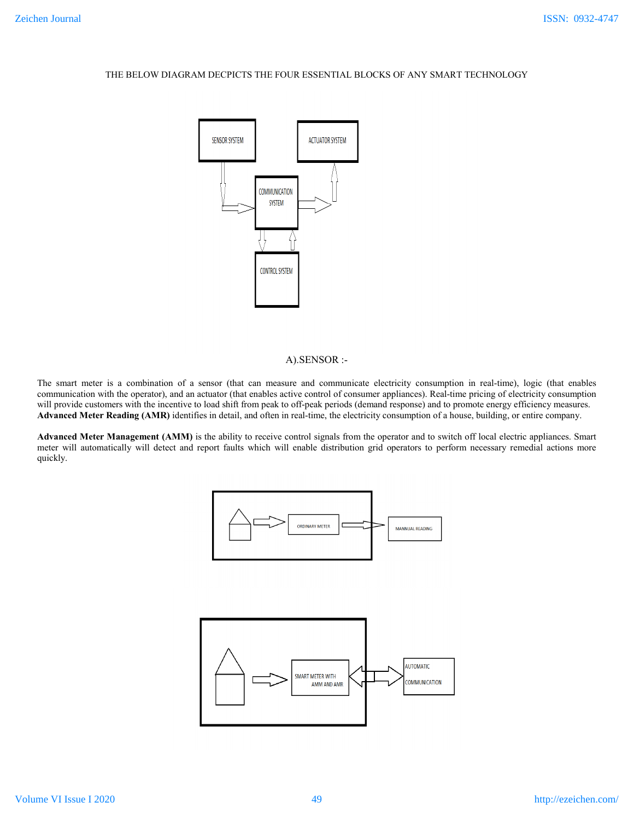# THE BELOW DIAGRAM DECPICTS THE FOUR ESSENTIAL BLOCKS OF ANY SMART TECHNOLOGY



## A).SENSOR :-

The smart meter is a combination of a sensor (that can measure and communicate electricity consumption in real-time), logic (that enables communication with the operator), and an actuator (that enables active control of consumer appliances). Real-time pricing of electricity consumption will provide customers with the incentive to load shift from peak to off-peak periods (demand response) and to promote energy efficiency measures. **Advanced Meter Reading (AMR)** identifies in detail, and often in real-time, the electricity consumption of a house, building, or entire company.

**Advanced Meter Management (AMM)** is the ability to receive control signals from the operator and to switch off local electric appliances. Smart meter will automatically will detect and report faults which will enable distribution grid operators to perform necessary remedial actions more quickly.

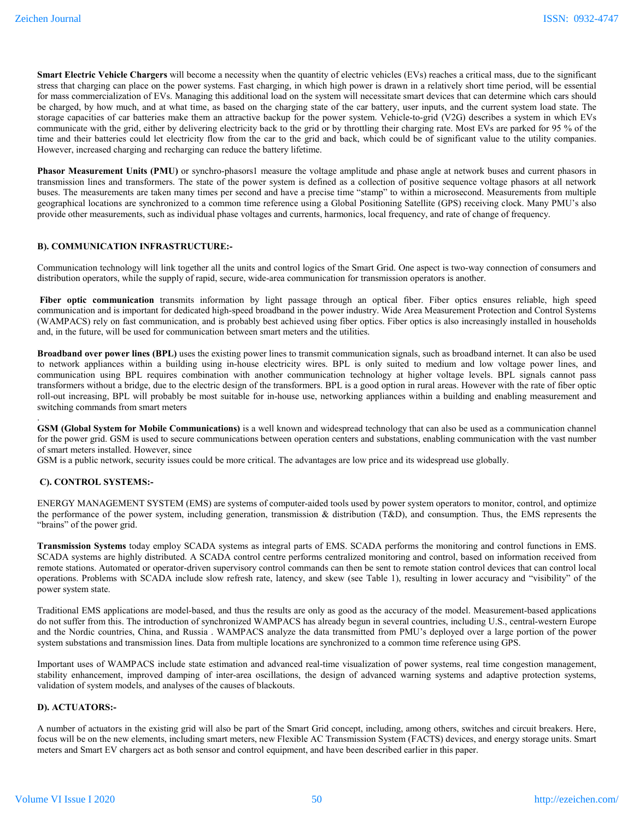**Smart Electric Vehicle Chargers** will become a necessity when the quantity of electric vehicles (EVs) reaches a critical mass, due to the significant stress that charging can place on the power systems. Fast charging, in which high power is drawn in a relatively short time period, will be essential for mass commercialization of EVs. Managing this additional load on the system will necessitate smart devices that can determine which cars should be charged, by how much, and at what time, as based on the charging state of the car battery, user inputs, and the current system load state. The storage capacities of car batteries make them an attractive backup for the power system. Vehicle-to-grid (V2G) describes a system in which EVs communicate with the grid, either by delivering electricity back to the grid or by throttling their charging rate. Most EVs are parked for 95 % of the time and their batteries could let electricity flow from the car to the grid and back, which could be of significant value to the utility companies. However, increased charging and recharging can reduce the battery lifetime.

**Phasor Measurement Units (PMU)** or synchro-phasors1 measure the voltage amplitude and phase angle at network buses and current phasors in transmission lines and transformers. The state of the power system is defined as a collection of positive sequence voltage phasors at all network buses. The measurements are taken many times per second and have a precise time "stamp" to within a microsecond. Measurements from multiple geographical locations are synchronized to a common time reference using a Global Positioning Satellite (GPS) receiving clock. Many PMU's also provide other measurements, such as individual phase voltages and currents, harmonics, local frequency, and rate of change of frequency.

### **B). COMMUNICATION INFRASTRUCTURE:-**

Communication technology will link together all the units and control logics of the Smart Grid. One aspect is two-way connection of consumers and distribution operators, while the supply of rapid, secure, wide-area communication for transmission operators is another.

Fiber optic communication transmits information by light passage through an optical fiber. Fiber optics ensures reliable, high speed communication and is important for dedicated high-speed broadband in the power industry. Wide Area Measurement Protection and Control Systems (WAMPACS) rely on fast communication, and is probably best achieved using fiber optics. Fiber optics is also increasingly installed in households and, in the future, will be used for communication between smart meters and the utilities.

**Broadband over power lines (BPL)** uses the existing power lines to transmit communication signals, such as broadband internet. It can also be used to network appliances within a building using in-house electricity wires. BPL is only suited to medium and low voltage power lines, and communication using BPL requires combination with another communication technology at higher voltage levels. BPL signals cannot pass transformers without a bridge, due to the electric design of the transformers. BPL is a good option in rural areas. However with the rate of fiber optic roll-out increasing, BPL will probably be most suitable for in-house use, networking appliances within a building and enabling measurement and switching commands from smart meters

**GSM (Global System for Mobile Communications)** is a well known and widespread technology that can also be used as a communication channel for the power grid. GSM is used to secure communications between operation centers and substations, enabling communication with the vast number of smart meters installed. However, since

GSM is a public network, security issues could be more critical. The advantages are low price and its widespread use globally.

## **C). CONTROL SYSTEMS:-**

.

ENERGY MANAGEMENT SYSTEM (EMS) are systems of computer-aided tools used by power system operators to monitor, control, and optimize the performance of the power system, including generation, transmission  $\&$  distribution (T&D), and consumption. Thus, the EMS represents the "brains" of the power grid.

**Transmission Systems** today employ SCADA systems as integral parts of EMS. SCADA performs the monitoring and control functions in EMS. SCADA systems are highly distributed. A SCADA control centre performs centralized monitoring and control, based on information received from remote stations. Automated or operator-driven supervisory control commands can then be sent to remote station control devices that can control local operations. Problems with SCADA include slow refresh rate, latency, and skew (see Table 1), resulting in lower accuracy and "visibility" of the power system state.

Traditional EMS applications are model-based, and thus the results are only as good as the accuracy of the model. Measurement-based applications do not suffer from this. The introduction of synchronized WAMPACS has already begun in several countries, including U.S., central-western Europe and the Nordic countries, China, and Russia . WAMPACS analyze the data transmitted from PMU's deployed over a large portion of the power system substations and transmission lines. Data from multiple locations are synchronized to a common time reference using GPS.

Important uses of WAMPACS include state estimation and advanced real-time visualization of power systems, real time congestion management, stability enhancement, improved damping of inter-area oscillations, the design of advanced warning systems and adaptive protection systems, validation of system models, and analyses of the causes of blackouts.

#### **D). ACTUATORS:-**

A number of actuators in the existing grid will also be part of the Smart Grid concept, including, among others, switches and circuit breakers. Here, focus will be on the new elements, including smart meters, new Flexible AC Transmission System (FACTS) devices, and energy storage units. Smart meters and Smart EV chargers act as both sensor and control equipment, and have been described earlier in this paper.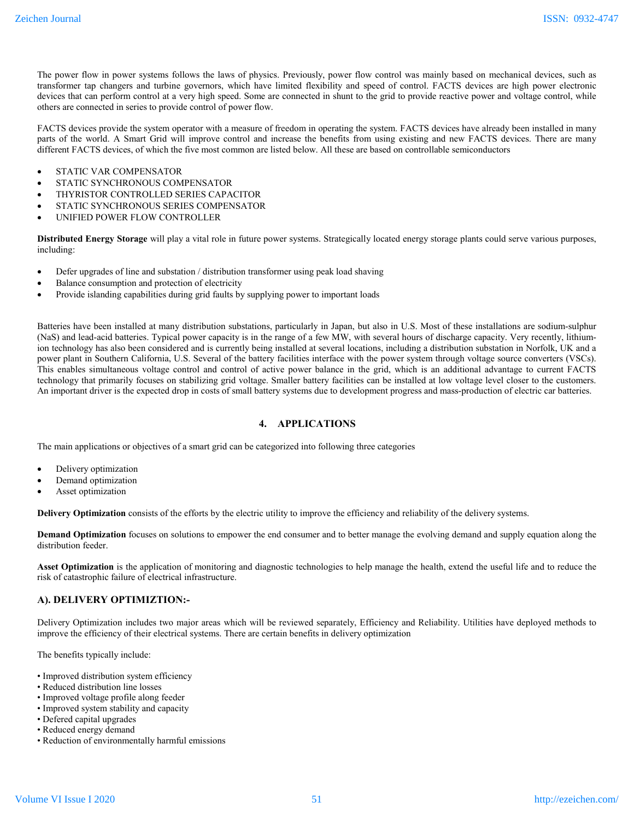The power flow in power systems follows the laws of physics. Previously, power flow control was mainly based on mechanical devices, such as transformer tap changers and turbine governors, which have limited flexibility and speed of control. FACTS devices are high power electronic devices that can perform control at a very high speed. Some are connected in shunt to the grid to provide reactive power and voltage control, while others are connected in series to provide control of power flow.

FACTS devices provide the system operator with a measure of freedom in operating the system. FACTS devices have already been installed in many parts of the world. A Smart Grid will improve control and increase the benefits from using existing and new FACTS devices. There are many different FACTS devices, of which the five most common are listed below. All these are based on controllable semiconductors

- STATIC VAR COMPENSATOR
- STATIC SYNCHRONOUS COMPENSATOR
- THYRISTOR CONTROLLED SERIES CAPACITOR
- STATIC SYNCHRONOUS SERIES COMPENSATOR
- UNIFIED POWER FLOW CONTROLLER

**Distributed Energy Storage** will play a vital role in future power systems. Strategically located energy storage plants could serve various purposes, including:

- Defer upgrades of line and substation / distribution transformer using peak load shaving
- Balance consumption and protection of electricity
- Provide islanding capabilities during grid faults by supplying power to important loads

Batteries have been installed at many distribution substations, particularly in Japan, but also in U.S. Most of these installations are sodium-sulphur (NaS) and lead-acid batteries. Typical power capacity is in the range of a few MW, with several hours of discharge capacity. Very recently, lithiumion technology has also been considered and is currently being installed at several locations, including a distribution substation in Norfolk, UK and a power plant in Southern California, U.S. Several of the battery facilities interface with the power system through voltage source converters (VSCs). This enables simultaneous voltage control and control of active power balance in the grid, which is an additional advantage to current FACTS technology that primarily focuses on stabilizing grid voltage. Smaller battery facilities can be installed at low voltage level closer to the customers. An important driver is the expected drop in costs of small battery systems due to development progress and mass-production of electric car batteries.

#### **4. APPLICATIONS**

The main applications or objectives of a smart grid can be categorized into following three categories

- Delivery optimization
- Demand optimization
- Asset optimization

**Delivery Optimization** consists of the efforts by the electric utility to improve the efficiency and reliability of the delivery systems.

**Demand Optimization** focuses on solutions to empower the end consumer and to better manage the evolving demand and supply equation along the distribution feeder.

**Asset Optimization** is the application of monitoring and diagnostic technologies to help manage the health, extend the useful life and to reduce the risk of catastrophic failure of electrical infrastructure.

## **A). DELIVERY OPTIMIZTION:-**

Delivery Optimization includes two major areas which will be reviewed separately, Efficiency and Reliability. Utilities have deployed methods to improve the efficiency of their electrical systems. There are certain benefits in delivery optimization

The benefits typically include:

- Improved distribution system efficiency
- Reduced distribution line losses
- Improved voltage profile along feeder
- Improved system stability and capacity
- Defered capital upgrades
- Reduced energy demand
- Reduction of environmentally harmful emissions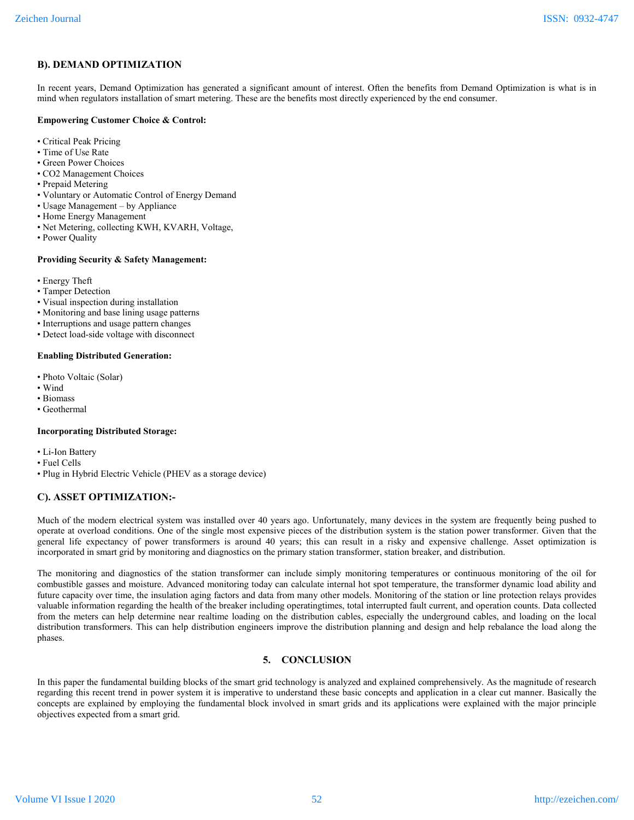# **B). DEMAND OPTIMIZATION**

In recent years, Demand Optimization has generated a significant amount of interest. Often the benefits from Demand Optimization is what is in mind when regulators installation of smart metering. These are the benefits most directly experienced by the end consumer.

#### **Empowering Customer Choice & Control:**

- Critical Peak Pricing
- Time of Use Rate
- Green Power Choices
- CO2 Management Choices
- Prepaid Metering
- Voluntary or Automatic Control of Energy Demand
- Usage Management by Appliance
- Home Energy Management
- Net Metering, collecting KWH, KVARH, Voltage,
- Power Quality

### **Providing Security & Safety Management:**

- Energy Theft
- Tamper Detection
- Visual inspection during installation
- Monitoring and base lining usage patterns
- Interruptions and usage pattern changes
- Detect load-side voltage with disconnect

### **Enabling Distributed Generation:**

- Photo Voltaic (Solar)
- Wind
- Biomass
- Geothermal

## **Incorporating Distributed Storage:**

- Li-Ion Battery
- Fuel Cells
- Plug in Hybrid Electric Vehicle (PHEV as a storage device)

# **C). ASSET OPTIMIZATION:-**

Much of the modern electrical system was installed over 40 years ago. Unfortunately, many devices in the system are frequently being pushed to operate at overload conditions. One of the single most expensive pieces of the distribution system is the station power transformer. Given that the general life expectancy of power transformers is around 40 years; this can result in a risky and expensive challenge. Asset optimization is incorporated in smart grid by monitoring and diagnostics on the primary station transformer, station breaker, and distribution.

The monitoring and diagnostics of the station transformer can include simply monitoring temperatures or continuous monitoring of the oil for combustible gasses and moisture. Advanced monitoring today can calculate internal hot spot temperature, the transformer dynamic load ability and future capacity over time, the insulation aging factors and data from many other models. Monitoring of the station or line protection relays provides valuable information regarding the health of the breaker including operatingtimes, total interrupted fault current, and operation counts. Data collected from the meters can help determine near realtime loading on the distribution cables, especially the underground cables, and loading on the local distribution transformers. This can help distribution engineers improve the distribution planning and design and help rebalance the load along the phases.

# **5. CONCLUSION**

In this paper the fundamental building blocks of the smart grid technology is analyzed and explained comprehensively. As the magnitude of research regarding this recent trend in power system it is imperative to understand these basic concepts and application in a clear cut manner. Basically the concepts are explained by employing the fundamental block involved in smart grids and its applications were explained with the major principle objectives expected from a smart grid.